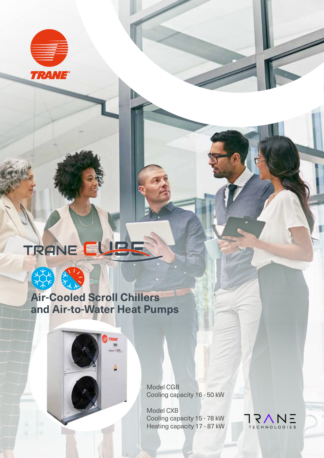

# TRANE EUBS



### **Air-Cooled Scroll Chillers and Air-to-Water Heat Pumps**

Model CGB Cooling capacity 16 - 50 kW

Model CXB Cooling capacity 15 - 78 kW Heating capacity 17 - 87 kW

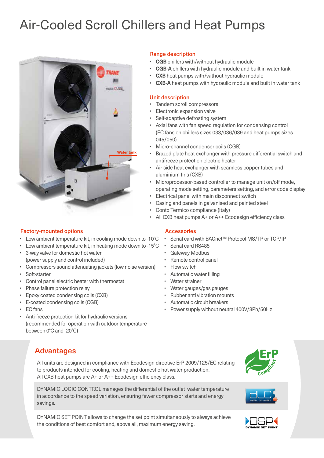## Air-Cooled Scroll Chillers and Heat Pumps



#### Range description

- **CGB** chillers with/without hydraulic module
- **CGB-A** chillers with hydraulic module and built in water tank
- **CXB** heat pumps with/without hydraulic module
- **CXB-A** heat pumps with hydraulic module and built in water tank

#### Unit description

- Tandem scroll compressors
- Electronic expansion valve
- Self-adaptive defrosting system
- Axial fans with fan speed regulation for condensing control (EC fans on chillers sizes 033/036/039 and heat pumps sizes 045/050)
- Micro-channel condenser coils (CGB)
- Brazed plate heat exchanger with pressure differential switch and antifreeze protection electric heater
- Air side heat exchanger with seamless copper tubes and aluminium fins (CXB)
- Microprocessor-based controller to manage unit on/off mode, operating mode setting, parameters setting, and error code display

• Serial card with BACnet™ Protocol MS/TP or TCP/IP

- Electrical panel with main disconnect switch
- Casing and panels in galvanised and painted steel
- Conto Termico compliance (Italy)
- All CXB heat pumps A+ or A++ Ecodesign efficiency class

#### Factory-mounted options and a series and a series Accessories

- Low ambient temperature kit, in cooling mode down to -10°C
- Low ambient temperature kit, in heating mode down to -15˚C
- 3-way valve for domestic hot water (power supply and control included)
- Compressors sound attenuating jackets (low noise version)
- Soft-starter
- Control panel electric heater with thermostat
- Phase failure protection relay
- Epoxy coated condensing coils (CXB)
- E-coated condensing coils (CGB)
- EC fans
- Anti-freeze protection kit for hydraulic versions (recommended for operation with outdoor temperature between 0°C and -20°C)

#### • Serial card RS485

- Gateway Modbus
- Remote control panel
- Flow switch
- Automatic water filling
- Water strainer
- Water gauges/gas gauges
- Rubber anti vibration mounts
- Automatic circuit breakers
- Power supply without neutral 400V/3Ph/50Hz

#### Advantages

All units are designed in compliance with Ecodesign directive ErP 2009/125/EC relating to products intended for cooling, heating and domestic hot water production. All CXB heat pumps are A+ or A++ Ecodesign efficiency class.

DYNAMIC LOGIC CONTROL manages the differential of the outlet water temperature in accordance to the speed variation, ensuring fewer compressor starts and energy savings.

DYNAMIC SET POINT allows to change the set point simultaneously to always achieve the conditions of best comfort and, above all, maximum energy saving.





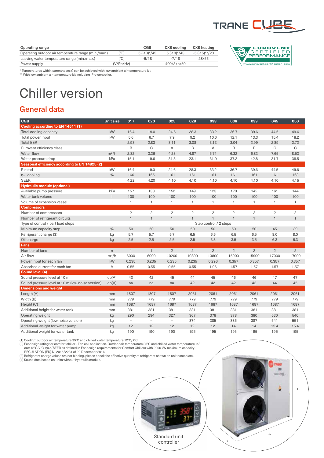

| <b>Operating range</b>                              |           | <b>CGB</b>    | <b>CXB</b> cooling | <b>CXB</b> heating |
|-----------------------------------------------------|-----------|---------------|--------------------|--------------------|
| Operating outdoor air temperature range (min./max.) | (°C)      | $5(-10)^*/45$ | $5(-10)*/43$       | -5 (-15)**/20      |
| Leaving water temperature range (min./max.)         | (°C)      | $-6/18$       | $-7/18$            | 28/55              |
| Power supply                                        | (V/Ph/Hz) |               | $400/3 + n/50$     |                    |



\* Temperatures within parentheses () can be achieved with low ambient air temperature kit. \*\* With low ambient air temperature kit including iPro controller.

# Chiller version

#### General data

| <b>CGB</b>                                       | <b>Unit size</b> | 017                      | 020               | 025                      | 028            | 033                    | 036            | 039            | 045            | 050            |
|--------------------------------------------------|------------------|--------------------------|-------------------|--------------------------|----------------|------------------------|----------------|----------------|----------------|----------------|
| Cooling according to EN 14511 (1)                |                  |                          |                   |                          |                |                        |                |                |                |                |
| Total cooling capacity                           | kW               | 16.4                     | 19.0              | 24.6                     | 28.3           | 33.2                   | 36.7           | 39.6           | 44.5           | 49.6           |
| Total power input                                | kW               | 5.6                      | 6.7               | 7.9                      | 9.2            | 10.6                   | 12.1           | 13.3           | 15.4           | 18.2           |
| <b>Total EER</b>                                 |                  | 2.93                     | 2.83              | 3.11                     | 3.08           | 3.13                   | 3.04           | 2.99           | 2.89           | 2.72           |
| Eurovent efficiency class                        |                  | B                        | C                 | Α                        | B              | Α                      | B              | B              | C              | C              |
| Water flow                                       | $m^3/h$          | 2.82                     | 3.26              | 4.23                     | 4.87           | 5.71                   | 6.32           | 6.82           | 7.65           | 8.53           |
| Water pressure drop                              | kPa              | 15.1                     | 19.6              | 31.3                     | 23.1           | 31.0                   | 37.2           | 42.8           | 31.7           | 38.5           |
| Seasonal efficiency according to EN 14825 (2)    |                  |                          |                   |                          |                |                        |                |                |                |                |
| P rated                                          | kW               | 16.4                     | 19.0              | 24.6                     | 28.3           | 33.2                   | 36.7           | 39.6           | 44.5           | 49.6           |
| η <sub>s</sub> . cooling                         | $\frac{0}{0}$    | 166                      | 165               | 161                      | 161            | 161                    | 161            | 161            | 161            | 163            |
| <b>SEER</b>                                      |                  | 4.22                     | 4.20              | 4.10                     | 4.10           | 4.10                   | 4.10           | 4.10           | 4.10           | 4.15           |
| <b>Hydraulic module (optional)</b>               |                  |                          |                   |                          |                |                        |                |                |                |                |
| Available pump pressure                          | kPa              | 157                      | 138               | 152                      | 149            | 123                    | 170            | 142            | 161            | 144            |
| Water tank volume                                |                  | 100                      | 100               | 100                      | 100            | 100                    | 100            | 100            | 100            | 100            |
| Volume of expansion vessel                       |                  | $\mathbf{1}$             | $\mathbf{1}$      | 1                        | 1              | 1                      | $\mathbf{1}$   | 1              | $\overline{1}$ | $\mathbf{1}$   |
| <b>Compressors</b>                               |                  |                          |                   |                          |                |                        |                |                |                |                |
| Number of compressors                            |                  | $\overline{c}$           | $\overline{c}$    | $\overline{c}$           | $\overline{c}$ | $\overline{c}$         | $\overline{c}$ | $\overline{c}$ | $\overline{c}$ | $\overline{c}$ |
| Number of refrigerant circuits                   |                  | $\mathbf{1}$             | $\mathbf{1}$      | $\overline{1}$           | $\mathbf{1}$   | $\mathbf{1}$           | $\mathbf{1}$   | $\overline{1}$ | $\overline{1}$ | $\mathbf{1}$   |
| Type of control / part load steps                |                  |                          |                   |                          |                | Step control / 2 steps |                |                |                |                |
| Minimum capacity step                            | $\frac{0}{0}$    | 50                       | 50                | 50                       | 50             | 50                     | 50             | 50             | 45             | 39             |
| Refrigerant charge (3)                           | kg               | 5.7                      | 5.7               | 5.7                      | 6.5            | 6.5                    | 6.5            | 6.5            | 8.0            | 8.0            |
| Oil charge                                       | kg               | 2.5                      | 2.5               | 2.5                      | 2.5            | 3.3                    | 3.5            | 3.5            | 6.3            | 6.3            |
| Fans                                             |                  |                          |                   |                          |                |                        |                |                |                |                |
| Number of fans                                   | $\mathsf{n}$     | $\mathbf{1}$             | $\mathbf{1}$      | $\overline{c}$           | $\overline{c}$ | $\overline{2}$         | $\overline{2}$ | $\overline{2}$ | $\overline{2}$ | $\overline{2}$ |
| Air flow                                         | $m^3/h$          | 6000                     | 6000              | 10200                    | 10800          | 13800                  | 15900          | 15900          | 17000          | 17000          |
| Power input for each fan                         | kW               | 0.235                    | 0.235             | 0.235                    | 0.235          | 0.296                  | 0.357          | 0.357          | 0.357          | 0.357          |
| Absorbed current for each fan                    | A                | 0.55                     | 0.55              | 0.55                     | 0.55           | 1.06                   | 1.57           | 1.57           | 1.57           | 1.57           |
| Sound level (4)                                  |                  |                          |                   |                          |                |                        |                |                |                |                |
| Sound pressure level at 10 m                     | db(A)            | 42                       | 42                | 45                       | 44             | 45                     | 46             | 46             | 47             | 47             |
| Sound pressure level at 10 m (low noise version) | db(A)            | na                       | na                | na                       | 42             | 42                     | 42             | 42             | 44             | 45             |
| <b>Dimensions and weight</b>                     |                  |                          |                   |                          |                |                        |                |                |                |                |
| Length (A)                                       | mm               | 1807                     | 1807              | 1807                     | 2061           | 2061                   | 2061           | 2061           | 2061           | 2061           |
| Width (B)                                        | mm               | 779                      | 779               | 779                      | 779            | 779                    | 779            | 779            | 779            | 779            |
| Height (C)                                       | mm               | 1687                     | 1687              | 1687                     | 1687           | 1687                   | 1687           | 1687           | 1687           | 1687           |
| Additional height for water tank                 | mm               | 381                      | 381               | 381                      | 381            | 381                    | 381            | 381            | 381            | 381            |
| Operating weight                                 | kg               | 290                      | 294               | 327                      | 367            | 378                    | 378            | 380            | 530            | 540            |
| Operating weight (low noise version)             | kg               | $\overline{\phantom{a}}$ | $\qquad \qquad -$ | $\overline{\phantom{a}}$ | 374            | 385                    | 385            | 387            | 541            | 551            |
| Additional weight for water pump                 | kg               | 12                       | 12                | 12                       | 12             | 12                     | 14             | 14             | 15.4           | 15.4           |
| Additional weight for water tank                 | kg               | 190                      | 190               | 190                      | 195            | 195                    | 195            | 195            | 195            | 195            |

(1) Cooling: outdoor air temperature 35°C and chilled water temperature 12°C/7°C.<br>(2) Ecodesign rating for comfort chiller - Fan coil application. Outdoor air temperature 35°C and chilled water temperature in/<br>out: 12°C/7°

REGULATION (EU) № 2016/2281 of 20 December 2016.<br>(3) Refrigerant charge values are not binding, please check the effective quantity of refrigerant shown on unit nameplate.<br>(4) Sound data based on units without hydraulic